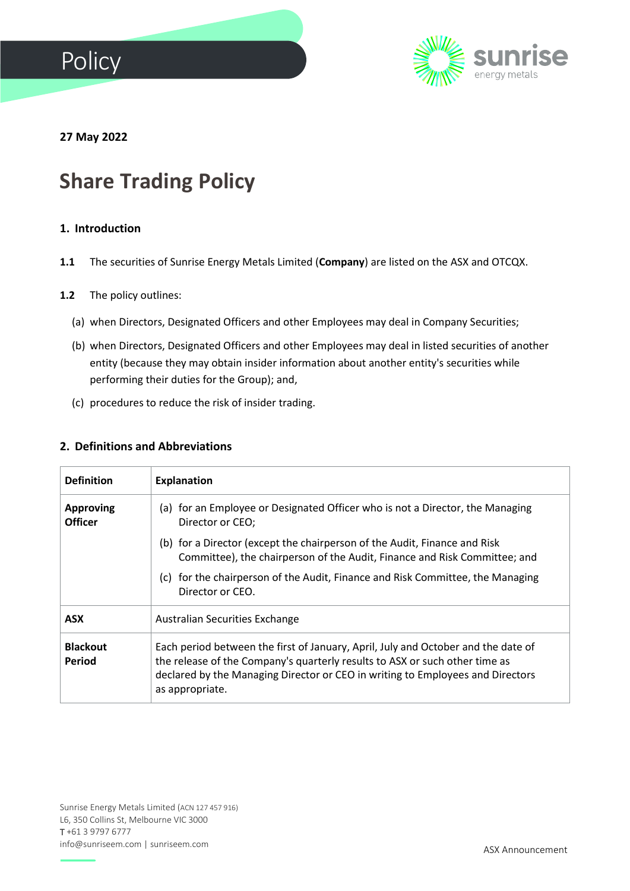



**27 May 2022**

# **Share Trading Policy**

# **1. Introduction**

**1.1** The securities of Sunrise Energy Metals Limited (**Company**) are listed on the ASX and OTCQX.

#### **1.2** The policy outlines:

- (a) when Directors, Designated Officers and other Employees may deal in Company Securities;
- (b) when Directors, Designated Officers and other Employees may deal in listed securities of another entity (because they may obtain insider information about another entity's securities while performing their duties for the Group); and,
- (c) procedures to reduce the risk of insider trading.

#### **2. Definitions and Abbreviations**

| <b>Definition</b>                  | <b>Explanation</b>                                                                                                                                                                                                                                                    |  |
|------------------------------------|-----------------------------------------------------------------------------------------------------------------------------------------------------------------------------------------------------------------------------------------------------------------------|--|
| <b>Approving</b><br><b>Officer</b> | (a) for an Employee or Designated Officer who is not a Director, the Managing<br>Director or CEO;                                                                                                                                                                     |  |
|                                    | (b) for a Director (except the chairperson of the Audit, Finance and Risk<br>Committee), the chairperson of the Audit, Finance and Risk Committee; and                                                                                                                |  |
|                                    | (c) for the chairperson of the Audit, Finance and Risk Committee, the Managing<br>Director or CEO.                                                                                                                                                                    |  |
| <b>ASX</b>                         | Australian Securities Exchange                                                                                                                                                                                                                                        |  |
| <b>Blackout</b><br>Period          | Each period between the first of January, April, July and October and the date of<br>the release of the Company's quarterly results to ASX or such other time as<br>declared by the Managing Director or CEO in writing to Employees and Directors<br>as appropriate. |  |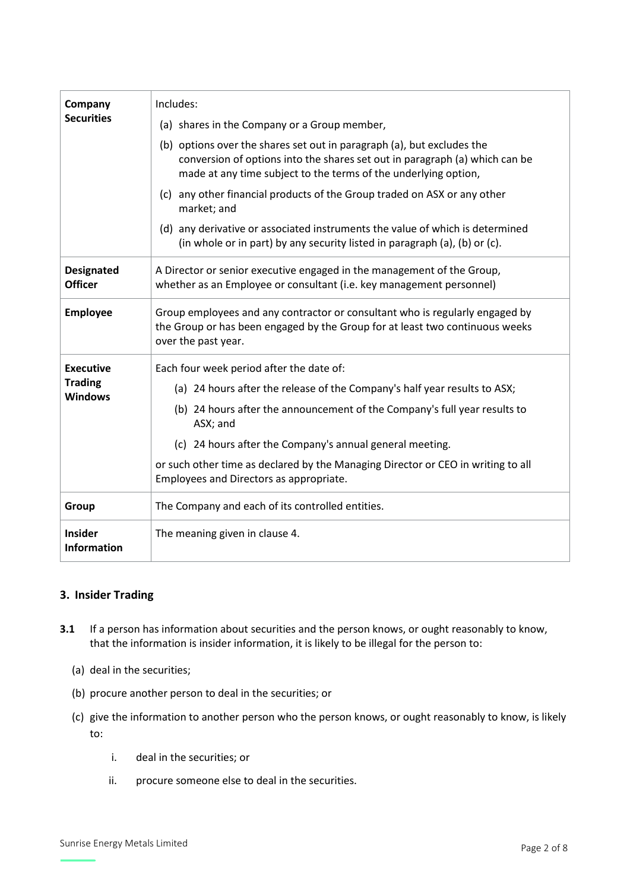| Company<br><b>Securities</b>                         | Includes:                                                                                                                                                                                                                |  |
|------------------------------------------------------|--------------------------------------------------------------------------------------------------------------------------------------------------------------------------------------------------------------------------|--|
|                                                      | (a) shares in the Company or a Group member,                                                                                                                                                                             |  |
|                                                      | (b) options over the shares set out in paragraph (a), but excludes the<br>conversion of options into the shares set out in paragraph (a) which can be<br>made at any time subject to the terms of the underlying option, |  |
|                                                      | (c) any other financial products of the Group traded on ASX or any other<br>market; and                                                                                                                                  |  |
|                                                      | (d) any derivative or associated instruments the value of which is determined<br>(in whole or in part) by any security listed in paragraph (a), (b) or (c).                                                              |  |
| <b>Designated</b><br><b>Officer</b>                  | A Director or senior executive engaged in the management of the Group,<br>whether as an Employee or consultant (i.e. key management personnel)                                                                           |  |
| <b>Employee</b>                                      | Group employees and any contractor or consultant who is regularly engaged by<br>the Group or has been engaged by the Group for at least two continuous weeks<br>over the past year.                                      |  |
| <b>Executive</b><br><b>Trading</b><br><b>Windows</b> | Each four week period after the date of:                                                                                                                                                                                 |  |
|                                                      | (a) 24 hours after the release of the Company's half year results to ASX;                                                                                                                                                |  |
|                                                      | (b) 24 hours after the announcement of the Company's full year results to<br>ASX; and                                                                                                                                    |  |
|                                                      | (c) 24 hours after the Company's annual general meeting.                                                                                                                                                                 |  |
|                                                      | or such other time as declared by the Managing Director or CEO in writing to all<br>Employees and Directors as appropriate.                                                                                              |  |
| Group                                                | The Company and each of its controlled entities.                                                                                                                                                                         |  |
| <b>Insider</b><br><b>Information</b>                 | The meaning given in clause 4.                                                                                                                                                                                           |  |

# **3. Insider Trading**

- **3.1** If a person has information about securities and the person knows, or ought reasonably to know, that the information is insider information, it is likely to be illegal for the person to:
	- (a) deal in the securities;
	- (b) procure another person to deal in the securities; or
	- (c) give the information to another person who the person knows, or ought reasonably to know, is likely to:
		- i. deal in the securities; or
		- ii. procure someone else to deal in the securities.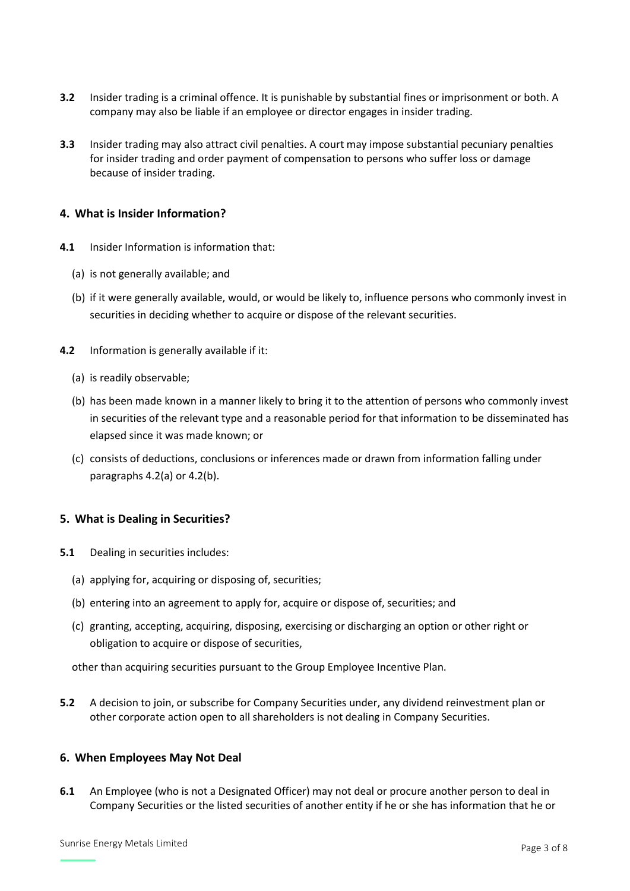- **3.2** Insider trading is a criminal offence. It is punishable by substantial fines or imprisonment or both. A company may also be liable if an employee or director engages in insider trading.
- **3.3** Insider trading may also attract civil penalties. A court may impose substantial pecuniary penalties for insider trading and order payment of compensation to persons who suffer loss or damage because of insider trading.

#### **4. What is Insider Information?**

- **4.1** Insider Information is information that:
	- (a) is not generally available; and
	- (b) if it were generally available, would, or would be likely to, influence persons who commonly invest in securities in deciding whether to acquire or dispose of the relevant securities.
- **4.2** Information is generally available if it:
	- (a) is readily observable;
	- (b) has been made known in a manner likely to bring it to the attention of persons who commonly invest in securities of the relevant type and a reasonable period for that information to be disseminated has elapsed since it was made known; or
	- (c) consists of deductions, conclusions or inferences made or drawn from information falling under paragraphs 4.2(a) or 4.2(b).

# **5. What is Dealing in Securities?**

- **5.1** Dealing in securities includes:
	- (a) applying for, acquiring or disposing of, securities;
	- (b) entering into an agreement to apply for, acquire or dispose of, securities; and
	- (c) granting, accepting, acquiring, disposing, exercising or discharging an option or other right or obligation to acquire or dispose of securities,

other than acquiring securities pursuant to the Group Employee Incentive Plan.

**5.2** A decision to join, or subscribe for Company Securities under, any dividend reinvestment plan or other corporate action open to all shareholders is not dealing in Company Securities.

#### **6. When Employees May Not Deal**

**6.1** An Employee (who is not a Designated Officer) may not deal or procure another person to deal in Company Securities or the listed securities of another entity if he or she has information that he or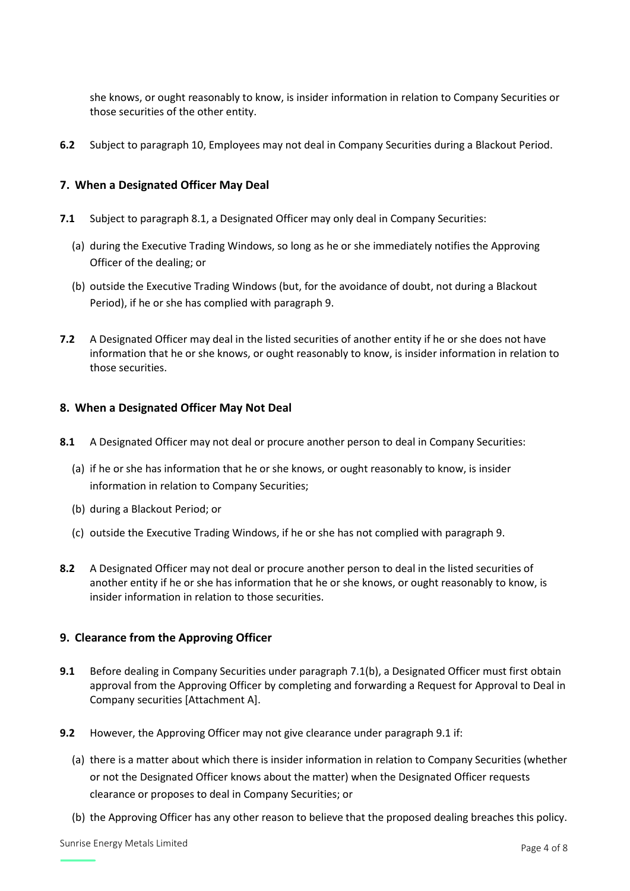she knows, or ought reasonably to know, is insider information in relation to Company Securities or those securities of the other entity.

**6.2** Subject to paragraph 10, Employees may not deal in Company Securities during a Blackout Period.

# **7. When a Designated Officer May Deal**

- **7.1** Subject to paragraph 8.1, a Designated Officer may only deal in Company Securities:
	- (a) during the Executive Trading Windows, so long as he or she immediately notifies the Approving Officer of the dealing; or
	- (b) outside the Executive Trading Windows (but, for the avoidance of doubt, not during a Blackout Period), if he or she has complied with paragraph 9.
- **7.2** A Designated Officer may deal in the listed securities of another entity if he or she does not have information that he or she knows, or ought reasonably to know, is insider information in relation to those securities.

# **8. When a Designated Officer May Not Deal**

- **8.1** A Designated Officer may not deal or procure another person to deal in Company Securities:
	- (a) if he or she has information that he or she knows, or ought reasonably to know, is insider information in relation to Company Securities;
	- (b) during a Blackout Period; or
	- (c) outside the Executive Trading Windows, if he or she has not complied with paragraph 9.
- **8.2** A Designated Officer may not deal or procure another person to deal in the listed securities of another entity if he or she has information that he or she knows, or ought reasonably to know, is insider information in relation to those securities.

# **9. Clearance from the Approving Officer**

- **9.1** Before dealing in Company Securities under paragraph 7.1(b), a Designated Officer must first obtain approval from the Approving Officer by completing and forwarding a Request for Approval to Deal in Company securities [Attachment A].
- **9.2** However, the Approving Officer may not give clearance under paragraph 9.1 if:
	- (a) there is a matter about which there is insider information in relation to Company Securities (whether or not the Designated Officer knows about the matter) when the Designated Officer requests clearance or proposes to deal in Company Securities; or
	- (b) the Approving Officer has any other reason to believe that the proposed dealing breaches this policy.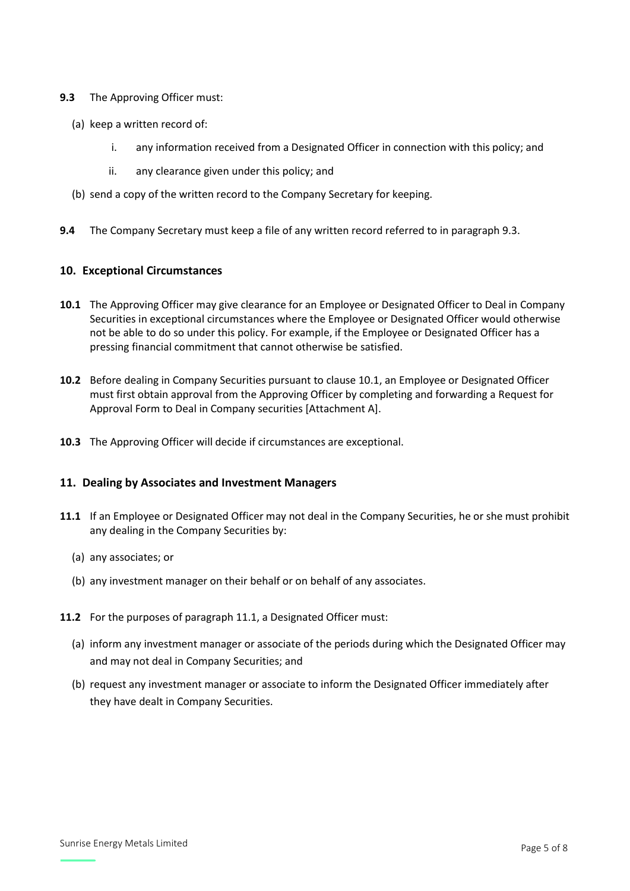#### **9.3** The Approving Officer must:

- (a) keep a written record of:
	- i. any information received from a Designated Officer in connection with this policy; and
	- ii. any clearance given under this policy; and
- (b) send a copy of the written record to the Company Secretary for keeping.
- **9.4** The Company Secretary must keep a file of any written record referred to in paragraph 9.3.

#### **10. Exceptional Circumstances**

- **10.1** The Approving Officer may give clearance for an Employee or Designated Officer to Deal in Company Securities in exceptional circumstances where the Employee or Designated Officer would otherwise not be able to do so under this policy. For example, if the Employee or Designated Officer has a pressing financial commitment that cannot otherwise be satisfied.
- **10.2** Before dealing in Company Securities pursuant to clause 10.1, an Employee or Designated Officer must first obtain approval from the Approving Officer by completing and forwarding a Request for Approval Form to Deal in Company securities [Attachment A].
- **10.3** The Approving Officer will decide if circumstances are exceptional.

#### **11. Dealing by Associates and Investment Managers**

- **11.1** If an Employee or Designated Officer may not deal in the Company Securities, he or she must prohibit any dealing in the Company Securities by:
	- (a) any associates; or
	- (b) any investment manager on their behalf or on behalf of any associates.
- **11.2** For the purposes of paragraph 11.1, a Designated Officer must:
	- (a) inform any investment manager or associate of the periods during which the Designated Officer may and may not deal in Company Securities; and
	- (b) request any investment manager or associate to inform the Designated Officer immediately after they have dealt in Company Securities.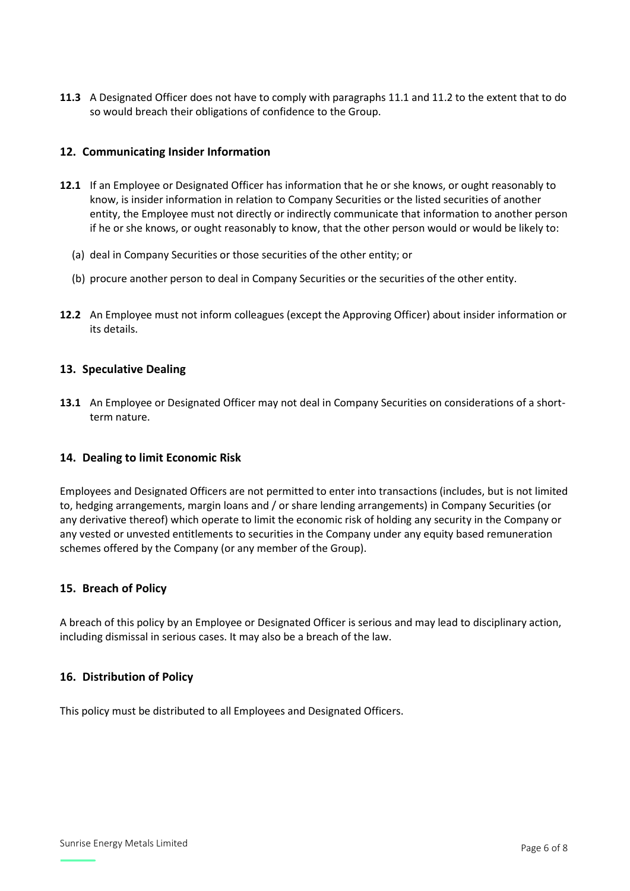**11.3** A Designated Officer does not have to comply with paragraphs 11.1 and 11.2 to the extent that to do so would breach their obligations of confidence to the Group.

#### **12. Communicating Insider Information**

- **12.1** If an Employee or Designated Officer has information that he or she knows, or ought reasonably to know, is insider information in relation to Company Securities or the listed securities of another entity, the Employee must not directly or indirectly communicate that information to another person if he or she knows, or ought reasonably to know, that the other person would or would be likely to:
	- (a) deal in Company Securities or those securities of the other entity; or
	- (b) procure another person to deal in Company Securities or the securities of the other entity.
- **12.2** An Employee must not inform colleagues (except the Approving Officer) about insider information or its details.

#### **13. Speculative Dealing**

**13.1** An Employee or Designated Officer may not deal in Company Securities on considerations of a shortterm nature.

#### **14. Dealing to limit Economic Risk**

Employees and Designated Officers are not permitted to enter into transactions (includes, but is not limited to, hedging arrangements, margin loans and / or share lending arrangements) in Company Securities (or any derivative thereof) which operate to limit the economic risk of holding any security in the Company or any vested or unvested entitlements to securities in the Company under any equity based remuneration schemes offered by the Company (or any member of the Group).

#### **15. Breach of Policy**

A breach of this policy by an Employee or Designated Officer is serious and may lead to disciplinary action, including dismissal in serious cases. It may also be a breach of the law.

#### **16. Distribution of Policy**

This policy must be distributed to all Employees and Designated Officers.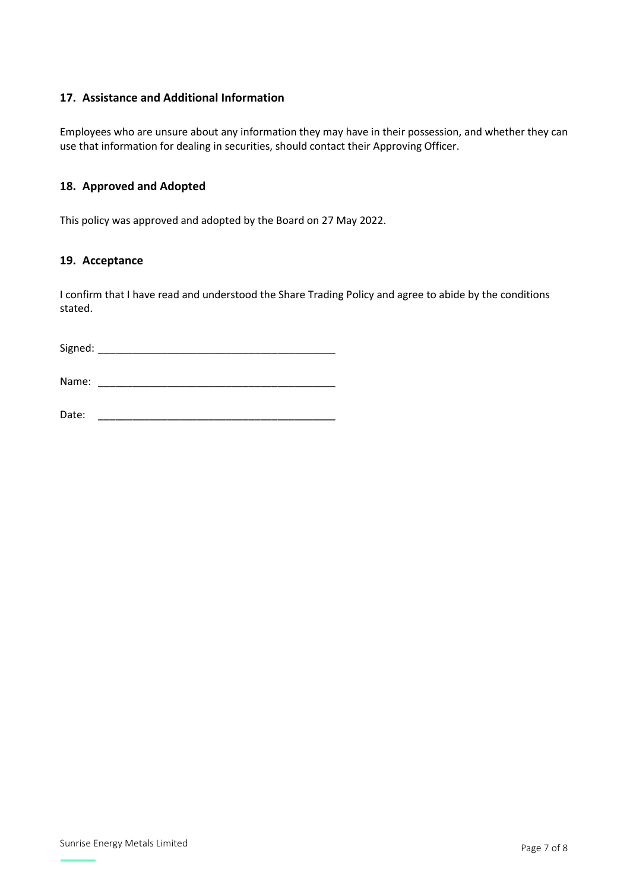# **17. Assistance and Additional Information**

Employees who are unsure about any information they may have in their possession, and whether they can use that information for dealing in securities, should contact their Approving Officer.

# **18. Approved and Adopted**

This policy was approved and adopted by the Board on 27 May 2022.

#### **19. Acceptance**

I confirm that I have read and understood the Share Trading Policy and agree to abide by the conditions stated.

Signed: \_\_\_\_\_\_\_\_\_\_\_\_\_\_\_\_\_\_\_\_\_\_\_\_\_\_\_\_\_\_\_\_\_\_\_\_\_\_\_\_\_

Name: \_\_\_\_\_\_\_\_\_\_\_\_\_\_\_\_\_\_\_\_\_\_\_\_\_\_\_\_\_\_\_\_\_\_\_\_\_\_\_\_\_

Date: \_\_\_\_\_\_\_\_\_\_\_\_\_\_\_\_\_\_\_\_\_\_\_\_\_\_\_\_\_\_\_\_\_\_\_\_\_\_\_\_\_